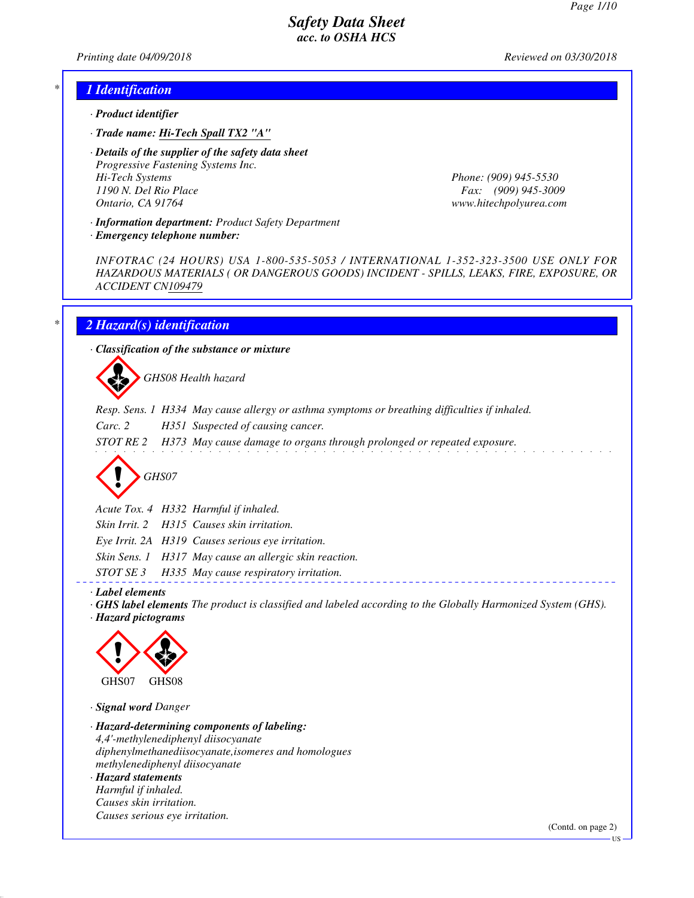*Printing date 04/09/2018 Reviewed on 03/30/2018*

#### *\* 1 Identification*

- *· Product identifier*
- *· Trade name: Hi-Tech Spall TX2 "A"*

*· Details of the supplier of the safety data sheet Progressive Fastening Systems Inc. Hi-Tech Systems Phone: (909) 945-5530 1190 N. Del Rio Place Fax: (909) 945-3009 Ontario, CA 91764 www.hitechpolyurea.com*

*· Information department: Product Safety Department*

*· Emergency telephone number:*

*INFOTRAC (24 HOURS) USA 1-800-535-5053 / INTERNATIONAL 1-352-323-3500 USE ONLY FOR HAZARDOUS MATERIALS ( OR DANGEROUS GOODS) INCIDENT - SPILLS, LEAKS, FIRE, EXPOSURE, OR ACCIDENT CN109479*

### *\* 2 Hazard(s) identification*

*· Classification of the substance or mixture*

d~*GHS08 Health hazard*

- *Resp. Sens. 1 H334 May cause allergy or asthma symptoms or breathing difficulties if inhaled.*
- *Carc. 2 H351 Suspected of causing cancer.*
- *STOT RE 2 H373 May cause damage to organs through prolonged or repeated exposure.*

d~*GHS07*

*Acute Tox. 4 H332 Harmful if inhaled.*

*Skin Irrit. 2 H315 Causes skin irritation.*

*Eye Irrit. 2A H319 Causes serious eye irritation.*

*Skin Sens. 1 H317 May cause an allergic skin reaction.*

*STOT SE 3 H335 May cause respiratory irritation.*

*· Label elements*

*· GHS label elements The product is classified and labeled according to the Globally Harmonized System (GHS). · Hazard pictograms*



*· Signal word Danger*

*· Hazard-determining components of labeling: 4,4'-methylenediphenyl diisocyanate diphenylmethanediisocyanate,isomeres and homologues methylenediphenyl diisocyanate · Hazard statements Harmful if inhaled. Causes skin irritation. Causes serious eye irritation.*

(Contd. on page 2)

US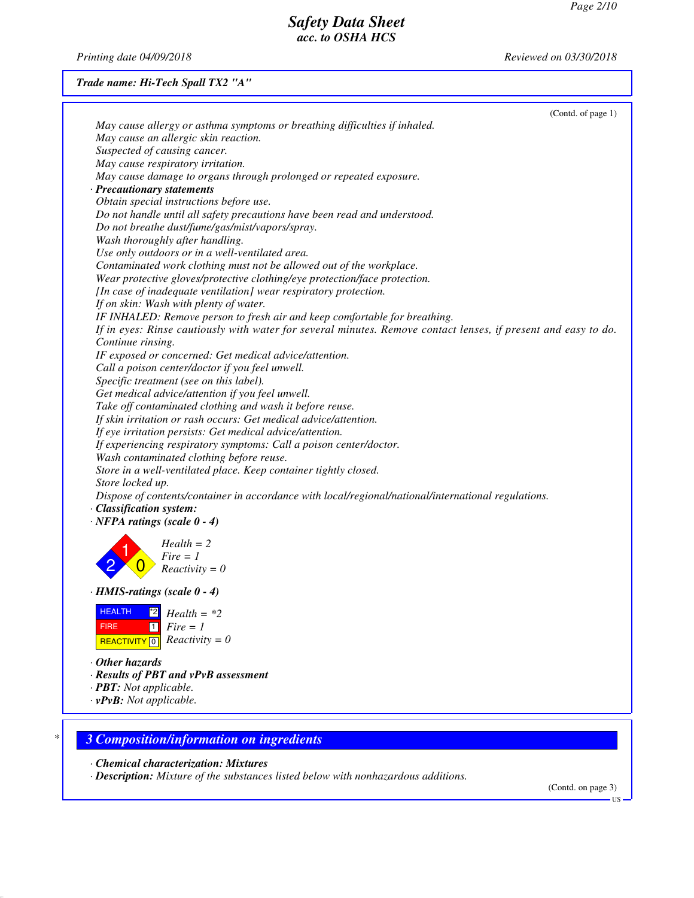*Printing date 04/09/2018 Reviewed on 03/30/2018*

#### *Trade name: Hi-Tech Spall TX2 "A"*

|                                       | (Contd. of page 1)                                                                                             |
|---------------------------------------|----------------------------------------------------------------------------------------------------------------|
|                                       | May cause allergy or asthma symptoms or breathing difficulties if inhaled.                                     |
|                                       | May cause an allergic skin reaction.                                                                           |
|                                       | Suspected of causing cancer.                                                                                   |
|                                       | May cause respiratory irritation.                                                                              |
|                                       | May cause damage to organs through prolonged or repeated exposure.                                             |
| · Precautionary statements            |                                                                                                                |
|                                       | Obtain special instructions before use.                                                                        |
|                                       | Do not handle until all safety precautions have been read and understood.                                      |
|                                       | Do not breathe dust/fume/gas/mist/vapors/spray.                                                                |
|                                       | Wash thoroughly after handling.                                                                                |
|                                       | Use only outdoors or in a well-ventilated area.                                                                |
|                                       | Contaminated work clothing must not be allowed out of the workplace.                                           |
|                                       | Wear protective gloves/protective clothing/eye protection/face protection.                                     |
|                                       | [In case of inadequate ventilation] wear respiratory protection.                                               |
|                                       | If on skin: Wash with plenty of water.                                                                         |
|                                       | IF INHALED: Remove person to fresh air and keep comfortable for breathing.                                     |
|                                       | If in eyes: Rinse cautiously with water for several minutes. Remove contact lenses, if present and easy to do. |
| Continue rinsing.                     |                                                                                                                |
|                                       | IF exposed or concerned: Get medical advice/attention.                                                         |
|                                       | Call a poison center/doctor if you feel unwell.                                                                |
|                                       | Specific treatment (see on this label).                                                                        |
|                                       | Get medical advice/attention if you feel unwell.                                                               |
|                                       | Take off contaminated clothing and wash it before reuse.                                                       |
|                                       | If skin irritation or rash occurs: Get medical advice/attention.                                               |
|                                       | If eye irritation persists: Get medical advice/attention.                                                      |
|                                       | If experiencing respiratory symptoms: Call a poison center/doctor.                                             |
|                                       | Wash contaminated clothing before reuse.                                                                       |
|                                       | Store in a well-ventilated place. Keep container tightly closed.                                               |
| Store locked up.                      |                                                                                                                |
|                                       | Dispose of contents/container in accordance with local/regional/national/international regulations.            |
| · Classification system:              |                                                                                                                |
| $\cdot$ NFPA ratings (scale $0 - 4$ ) |                                                                                                                |
|                                       |                                                                                                                |
|                                       | $Health = 2$                                                                                                   |
|                                       | $Fire = 1$                                                                                                     |
|                                       | $Reactivity = 0$                                                                                               |
| · HMIS-ratings (scale 0 - 4)          |                                                                                                                |
| <b>HEALTH</b>                         |                                                                                                                |
| <b>FIRE</b><br>$\vert$ 1 $\vert$      | $\frac{1}{2}$ Health = *2                                                                                      |
|                                       | $Fire = 1$                                                                                                     |
| <b>REACTIVITY</b><br>l 0 l            | $Reactivity = 0$                                                                                               |
| $\cdot$ Other hazards                 |                                                                                                                |
|                                       | · Results of PBT and vPvB assessment                                                                           |
| · PBT: Not applicable.                |                                                                                                                |
| $\cdot$ vPvB: Not applicable.         |                                                                                                                |
|                                       |                                                                                                                |

*· Chemical characterization: Mixtures*

*· Description: Mixture of the substances listed below with nonhazardous additions.*

(Contd. on page 3) US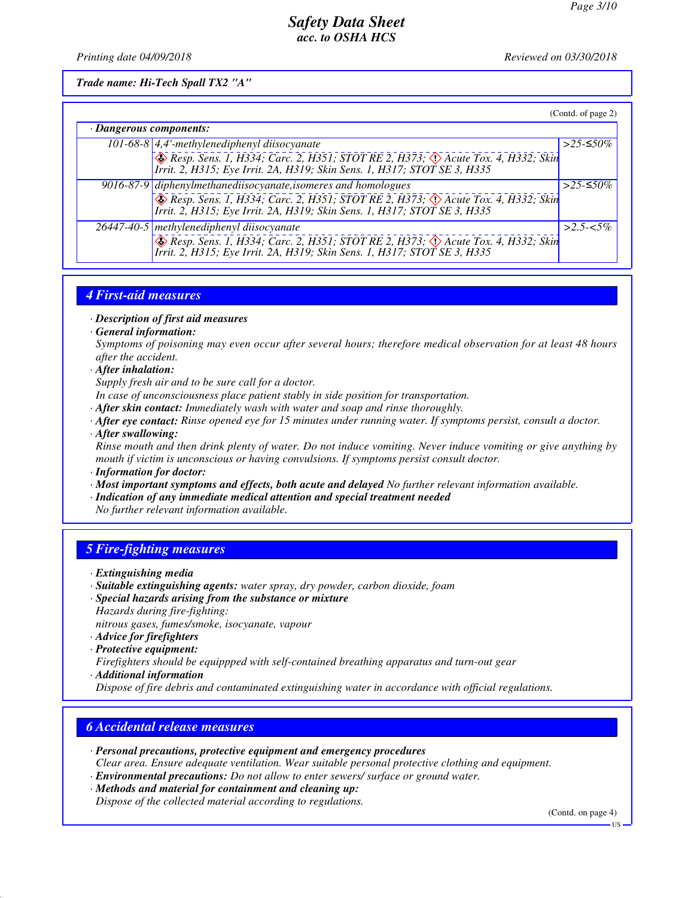*Printing date 04/09/2018 Reviewed on 03/30/2018*

*Trade name: Hi-Tech Spall TX2 "A"*

|                         |                                                                                                                                                                                                                                        | (Contd. of page 2) |
|-------------------------|----------------------------------------------------------------------------------------------------------------------------------------------------------------------------------------------------------------------------------------|--------------------|
| · Dangerous components: |                                                                                                                                                                                                                                        |                    |
|                         | 101-68-8 $\vert$ 4,4'-methylenediphenyl diisocyanate                                                                                                                                                                                   | >25-≤50%           |
|                         | $\circledast$ Resp. Sens. 1, H334; Carc. 2, H351; STOT RE 2, H373; $\circledast$ Acute Tox. 4, H332; Skin<br>Irrit. 2, H315; Eye Irrit. 2A, H319; Skin Sens. 1, H317; STOT SE 3, H335                                                  |                    |
|                         | 9016-87-9 diphenylmethanediisocyanate, isomeres and homologues<br>Fesp. Sens. 1, H334; Carc. 2, H351; STOT RE 2, H373; $\Diamond$ Acute Tox. 4, H332; Skin<br>Irrit. 2, H315; Eye Irrit. 2A, H319; Skin Sens. 1, H317; STOT SE 3, H335 | >25-≤50%           |
|                         | 26447-40-5 methylenediphenyl diisocyanate<br><b>Besp. Sens. 1, H334; Carc. 2, H351; STOT RE 2, H373; 4) Acute Tox. 4, H332; Skin</b><br>Irrit. 2, H315; Eye Irrit. 2A, H319; Skin Sens. 1, H317; STOT SE 3, H335                       | $>2.5 - 5.5\%$     |

### *4 First-aid measures*

- *· Description of first aid measures*
- *· General information:*

*Symptoms of poisoning may even occur after several hours; therefore medical observation for at least 48 hours after the accident.*

- *· After inhalation:*
- *Supply fresh air and to be sure call for a doctor.*
- *In case of unconsciousness place patient stably in side position for transportation.*
- *· After skin contact: Immediately wash with water and soap and rinse thoroughly.*
- *· After eye contact: Rinse opened eye for 15 minutes under running water. If symptoms persist, consult a doctor.*
- *· After swallowing:*

*Rinse mouth and then drink plenty of water. Do not induce vomiting. Never induce vomiting or give anything by mouth if victim is unconscious or having convulsions. If symptoms persist consult doctor.*

- *· Information for doctor:*
- *· Most important symptoms and effects, both acute and delayed No further relevant information available.*
- *· Indication of any immediate medical attention and special treatment needed*
- *No further relevant information available.*

# *5 Fire-fighting measures*

- *· Extinguishing media*
- *· Suitable extinguishing agents: water spray, dry powder, carbon dioxide, foam · Special hazards arising from the substance or mixture*
- *Hazards during fire-fighting:*
- *nitrous gases, fumes/smoke, isocyanate, vapour*
- *· Advice for firefighters*
- *· Protective equipment:*

*Firefighters should be equippped with self-contained breathing apparatus and turn-out gear · Additional information*

*Dispose of fire debris and contaminated extinguishing water in accordance with official regulations.*

### *6 Accidental release measures*

- *· Personal precautions, protective equipment and emergency procedures*
- *Clear area. Ensure adequate ventilation. Wear suitable personal protective clothing and equipment.*
- *· Environmental precautions: Do not allow to enter sewers/ surface or ground water.*
- *· Methods and material for containment and cleaning up:*

*Dispose of the collected material according to regulations.*

(Contd. on page 4)

US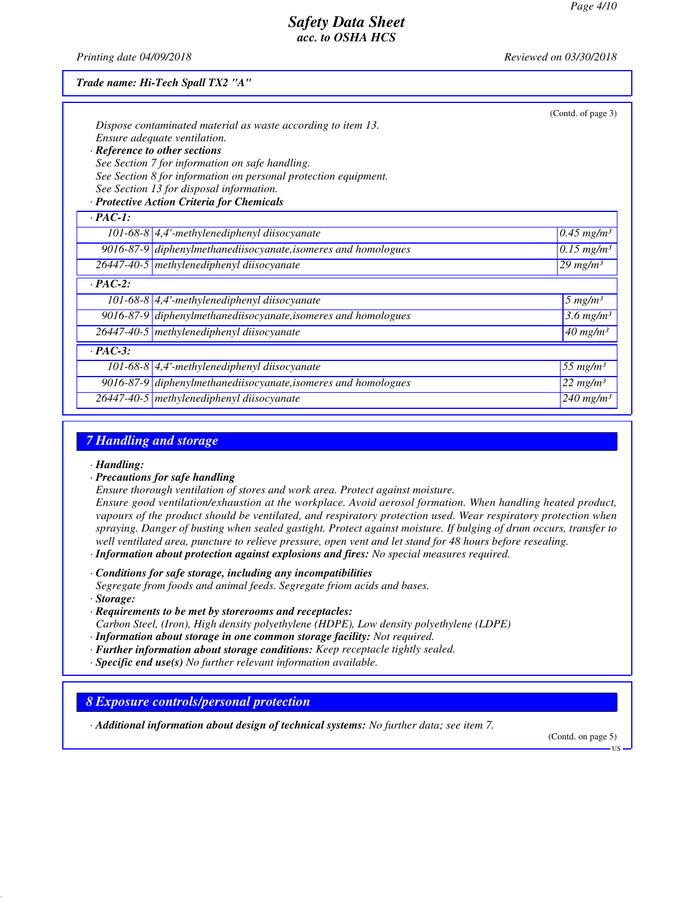*Printing date 04/09/2018 Reviewed on 03/30/2018*

| Trade name: Hi-Tech Spall TX2 "A" |  |
|-----------------------------------|--|
|-----------------------------------|--|

|                | Dispose contaminated material as waste according to item 13.<br>Ensure adequate ventilation.<br>· Reference to other sections<br>See Section 7 for information on safe handling.<br>See Section 8 for information on personal protection equipment.<br>See Section 13 for disposal information.<br>· Protective Action Criteria for Chemicals | (Contd. of page 3)       |
|----------------|-----------------------------------------------------------------------------------------------------------------------------------------------------------------------------------------------------------------------------------------------------------------------------------------------------------------------------------------------|--------------------------|
| $\cdot$ PAC-1: |                                                                                                                                                                                                                                                                                                                                               |                          |
|                | 101-68-8 $\vert$ 4,4'-methylenediphenyl diisocyanate                                                                                                                                                                                                                                                                                          | $0.45$ mg/m <sup>3</sup> |
|                | $9016-87-9$ diphenylmethanediisocyanate, isomeres and homologues                                                                                                                                                                                                                                                                              | $0.15$ mg/m <sup>3</sup> |
|                | 26447-40-5 methylenediphenyl diisocyanate                                                                                                                                                                                                                                                                                                     | $29$ mg/m <sup>3</sup>   |
| $\cdot$ PAC-2: |                                                                                                                                                                                                                                                                                                                                               |                          |
|                | 101-68-8 $\vert$ 4,4'-methylenediphenyl diisocyanate                                                                                                                                                                                                                                                                                          | $5 \ mg/m3$              |
|                | $9016-87-9$ diphenylmethanediisocyanate, isomeres and homologues                                                                                                                                                                                                                                                                              | 3.6 mg/m <sup>3</sup>    |
|                | 26447-40-5 methylenediphenyl diisocyanate                                                                                                                                                                                                                                                                                                     | $40$ mg/m <sup>3</sup>   |
| $\cdot$ PAC-3: |                                                                                                                                                                                                                                                                                                                                               |                          |
|                | 101-68-8 $\vert$ 4,4'-methylenediphenyl diisocyanate                                                                                                                                                                                                                                                                                          | 55 $mg/m^3$              |
|                | $9016-87-9$ diphenylmethanediisocyanate, isomeres and homologues                                                                                                                                                                                                                                                                              | 22 mg/m <sup>3</sup>     |
|                | 26447-40-5 methylenediphenyl diisocyanate                                                                                                                                                                                                                                                                                                     | $240$ mg/m <sup>3</sup>  |

### *7 Handling and storage*

- *· Handling:*
- *· Precautions for safe handling*
- *Ensure thorough ventilation of stores and work area. Protect against moisture.*

*Ensure good ventilation/exhaustion at the workplace. Avoid aerosol formation. When handling heated product, vapours of the product should be ventilated, and respiratory protection used. Wear respiratory protection when spraying. Danger of busting when sealed gastight. Protect against moisture. If bulging of drum occurs, transfer to well ventilated area, puncture to relieve pressure, open vent and let stand for 48 hours before resealing.*

- *· Information about protection against explosions and fires: No special measures required.*
- *· Conditions for safe storage, including any incompatibilities*

*Segregate from foods and animal feeds. Segregate friom acids and bases. · Storage:*

*· Requirements to be met by storerooms and receptacles:*

*Carbon Steel, (Iron), High density polyethylene (HDPE), Low density polyethylene (LDPE)*

- *· Information about storage in one common storage facility: Not required.*
- *· Further information about storage conditions: Keep receptacle tightly sealed.*
- *· Specific end use(s) No further relevant information available.*

#### *8 Exposure controls/personal protection*

*· Additional information about design of technical systems: No further data; see item 7.*

(Contd. on page 5)

US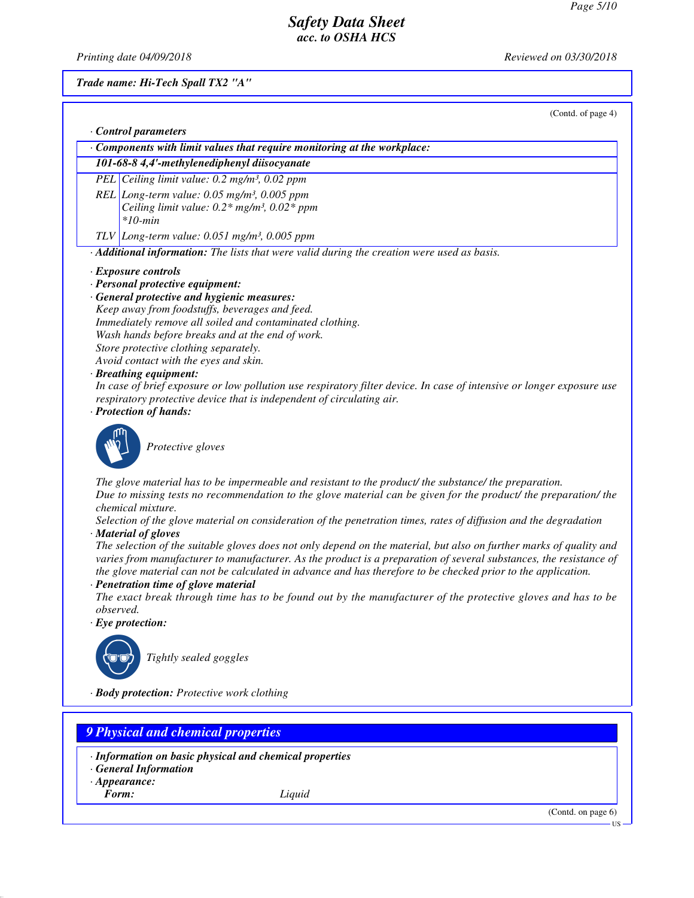*Printing date 04/09/2018 Reviewed on 03/30/2018*

*Trade name: Hi-Tech Spall TX2 "A"*

(Contd. of page 4)

| 101-68-8 4,4'-methylenediphenyl diisocyanate<br>PEL Ceiling limit value: 0.2 mg/m <sup>3</sup> , 0.02 ppm<br>REL Long-term value: $0.05$ mg/m <sup>3</sup> , $0.005$ ppm<br>Ceiling limit value: $0.2*$ mg/m <sup>3</sup> , $0.02*$ ppm<br>$*10$ -min<br>TLV Long-term value: $0.051$ mg/m <sup>3</sup> , $0.005$ ppm<br>· Additional information: The lists that were valid during the creation were used as basis.<br>· Exposure controls<br>· Personal protective equipment:<br>· General protective and hygienic measures:<br>Keep away from foodstuffs, beverages and feed.<br>Immediately remove all soiled and contaminated clothing.<br>Wash hands before breaks and at the end of work.<br>Store protective clothing separately.<br>Avoid contact with the eyes and skin.<br>· Breathing equipment:<br>In case of brief exposure or low pollution use respiratory filter device. In case of intensive or longer exposure use<br>respiratory protective device that is independent of circulating air.<br>· Protection of hands: |
|------------------------------------------------------------------------------------------------------------------------------------------------------------------------------------------------------------------------------------------------------------------------------------------------------------------------------------------------------------------------------------------------------------------------------------------------------------------------------------------------------------------------------------------------------------------------------------------------------------------------------------------------------------------------------------------------------------------------------------------------------------------------------------------------------------------------------------------------------------------------------------------------------------------------------------------------------------------------------------------------------------------------------------------|
|                                                                                                                                                                                                                                                                                                                                                                                                                                                                                                                                                                                                                                                                                                                                                                                                                                                                                                                                                                                                                                          |
|                                                                                                                                                                                                                                                                                                                                                                                                                                                                                                                                                                                                                                                                                                                                                                                                                                                                                                                                                                                                                                          |
|                                                                                                                                                                                                                                                                                                                                                                                                                                                                                                                                                                                                                                                                                                                                                                                                                                                                                                                                                                                                                                          |
|                                                                                                                                                                                                                                                                                                                                                                                                                                                                                                                                                                                                                                                                                                                                                                                                                                                                                                                                                                                                                                          |
|                                                                                                                                                                                                                                                                                                                                                                                                                                                                                                                                                                                                                                                                                                                                                                                                                                                                                                                                                                                                                                          |
|                                                                                                                                                                                                                                                                                                                                                                                                                                                                                                                                                                                                                                                                                                                                                                                                                                                                                                                                                                                                                                          |
|                                                                                                                                                                                                                                                                                                                                                                                                                                                                                                                                                                                                                                                                                                                                                                                                                                                                                                                                                                                                                                          |
|                                                                                                                                                                                                                                                                                                                                                                                                                                                                                                                                                                                                                                                                                                                                                                                                                                                                                                                                                                                                                                          |
|                                                                                                                                                                                                                                                                                                                                                                                                                                                                                                                                                                                                                                                                                                                                                                                                                                                                                                                                                                                                                                          |
|                                                                                                                                                                                                                                                                                                                                                                                                                                                                                                                                                                                                                                                                                                                                                                                                                                                                                                                                                                                                                                          |
|                                                                                                                                                                                                                                                                                                                                                                                                                                                                                                                                                                                                                                                                                                                                                                                                                                                                                                                                                                                                                                          |
|                                                                                                                                                                                                                                                                                                                                                                                                                                                                                                                                                                                                                                                                                                                                                                                                                                                                                                                                                                                                                                          |
|                                                                                                                                                                                                                                                                                                                                                                                                                                                                                                                                                                                                                                                                                                                                                                                                                                                                                                                                                                                                                                          |
|                                                                                                                                                                                                                                                                                                                                                                                                                                                                                                                                                                                                                                                                                                                                                                                                                                                                                                                                                                                                                                          |
|                                                                                                                                                                                                                                                                                                                                                                                                                                                                                                                                                                                                                                                                                                                                                                                                                                                                                                                                                                                                                                          |
|                                                                                                                                                                                                                                                                                                                                                                                                                                                                                                                                                                                                                                                                                                                                                                                                                                                                                                                                                                                                                                          |
|                                                                                                                                                                                                                                                                                                                                                                                                                                                                                                                                                                                                                                                                                                                                                                                                                                                                                                                                                                                                                                          |
|                                                                                                                                                                                                                                                                                                                                                                                                                                                                                                                                                                                                                                                                                                                                                                                                                                                                                                                                                                                                                                          |
| Protective gloves                                                                                                                                                                                                                                                                                                                                                                                                                                                                                                                                                                                                                                                                                                                                                                                                                                                                                                                                                                                                                        |
| The glove material has to be impermeable and resistant to the product/ the substance/ the preparation.                                                                                                                                                                                                                                                                                                                                                                                                                                                                                                                                                                                                                                                                                                                                                                                                                                                                                                                                   |
| Due to missing tests no recommendation to the glove material can be given for the product/ the preparation/ the                                                                                                                                                                                                                                                                                                                                                                                                                                                                                                                                                                                                                                                                                                                                                                                                                                                                                                                          |
| chemical mixture.                                                                                                                                                                                                                                                                                                                                                                                                                                                                                                                                                                                                                                                                                                                                                                                                                                                                                                                                                                                                                        |
| Selection of the glove material on consideration of the penetration times, rates of diffusion and the degradation                                                                                                                                                                                                                                                                                                                                                                                                                                                                                                                                                                                                                                                                                                                                                                                                                                                                                                                        |
| · Material of gloves                                                                                                                                                                                                                                                                                                                                                                                                                                                                                                                                                                                                                                                                                                                                                                                                                                                                                                                                                                                                                     |
| The selection of the suitable gloves does not only depend on the material, but also on further marks of quality and                                                                                                                                                                                                                                                                                                                                                                                                                                                                                                                                                                                                                                                                                                                                                                                                                                                                                                                      |
| varies from manufacturer to manufacturer. As the product is a preparation of several substances, the resistance of                                                                                                                                                                                                                                                                                                                                                                                                                                                                                                                                                                                                                                                                                                                                                                                                                                                                                                                       |
| the glove material can not be calculated in advance and has therefore to be checked prior to the application.                                                                                                                                                                                                                                                                                                                                                                                                                                                                                                                                                                                                                                                                                                                                                                                                                                                                                                                            |
| · Penetration time of glove material                                                                                                                                                                                                                                                                                                                                                                                                                                                                                                                                                                                                                                                                                                                                                                                                                                                                                                                                                                                                     |
| The exact break through time has to be found out by the manufacturer of the protective gloves and has to be                                                                                                                                                                                                                                                                                                                                                                                                                                                                                                                                                                                                                                                                                                                                                                                                                                                                                                                              |
| observed.                                                                                                                                                                                                                                                                                                                                                                                                                                                                                                                                                                                                                                                                                                                                                                                                                                                                                                                                                                                                                                |
| $\cdot$ Eye protection:                                                                                                                                                                                                                                                                                                                                                                                                                                                                                                                                                                                                                                                                                                                                                                                                                                                                                                                                                                                                                  |
| Tightly sealed goggles                                                                                                                                                                                                                                                                                                                                                                                                                                                                                                                                                                                                                                                                                                                                                                                                                                                                                                                                                                                                                   |
| · Body protection: Protective work clothing                                                                                                                                                                                                                                                                                                                                                                                                                                                                                                                                                                                                                                                                                                                                                                                                                                                                                                                                                                                              |

*9 Physical and chemical properties*

- *· Information on basic physical and chemical properties*
- *· General Information*
- *· Appearance:*<br>*Form:* 
	-

*Form: Liquid*

(Contd. on page 6)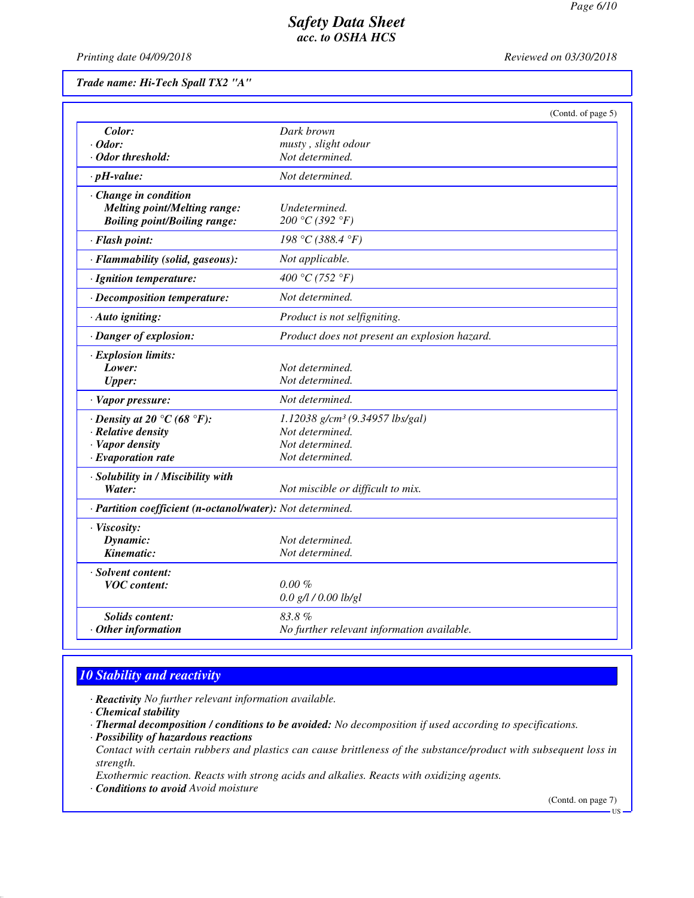*Printing date 04/09/2018 Reviewed on 03/30/2018*

*Trade name: Hi-Tech Spall TX2 "A"*

|                                                            | (Contd. of page 5)                            |  |
|------------------------------------------------------------|-----------------------------------------------|--|
| Color:                                                     | Dark brown                                    |  |
| $\cdot$ Odor:                                              | musty, slight odour                           |  |
| · Odor threshold:                                          | Not determined.                               |  |
| $\cdot$ pH-value:                                          | Not determined.                               |  |
| Change in condition                                        |                                               |  |
| <b>Melting point/Melting range:</b>                        | Undetermined.                                 |  |
| <b>Boiling point/Boiling range:</b>                        | 200 °C (392 °F)                               |  |
| · Flash point:                                             | 198 °C (388.4 °F)                             |  |
| · Flammability (solid, gaseous):                           | Not applicable.                               |  |
| · Ignition temperature:                                    | 400 °C (752 °F)                               |  |
| · Decomposition temperature:                               | Not determined.                               |  |
| · Auto igniting:                                           | Product is not selfigniting.                  |  |
| · Danger of explosion:                                     | Product does not present an explosion hazard. |  |
| · Explosion limits:                                        |                                               |  |
| Lower:                                                     | Not determined.                               |  |
| <b>Upper:</b>                                              | Not determined.                               |  |
| · Vapor pressure:                                          | Not determined.                               |  |
| $\cdot$ Density at 20 °C (68 °F):                          | 1.12038 g/cm <sup>3</sup> (9.34957 lbs/gal)   |  |
| $\cdot$ Relative density                                   | Not determined.                               |  |
| · Vapor density                                            | Not determined.                               |  |
| $\cdot$ Evaporation rate                                   | Not determined.                               |  |
| · Solubility in / Miscibility with                         |                                               |  |
| Water:                                                     | Not miscible or difficult to mix.             |  |
| · Partition coefficient (n-octanol/water): Not determined. |                                               |  |
| · Viscosity:                                               |                                               |  |
| Dynamic:                                                   | Not determined.                               |  |
| Kinematic:                                                 | Not determined.                               |  |
| · Solvent content:                                         |                                               |  |
| <b>VOC</b> content:                                        | $0.00\%$                                      |  |
|                                                            | $0.0$ g/l / $0.00$ lb/gl                      |  |
| Solids content:                                            | 83.8%                                         |  |
| $·$ Other information                                      | No further relevant information available.    |  |

# *10 Stability and reactivity*

*· Reactivity No further relevant information available.*

*· Chemical stability*

- *· Thermal decomposition / conditions to be avoided: No decomposition if used according to specifications.*
- *· Possibility of hazardous reactions*
- *Contact with certain rubbers and plastics can cause brittleness of the substance/product with subsequent loss in strength.*

*Exothermic reaction. Reacts with strong acids and alkalies. Reacts with oxidizing agents.*

*· Conditions to avoid Avoid moisture*

(Contd. on page 7)

US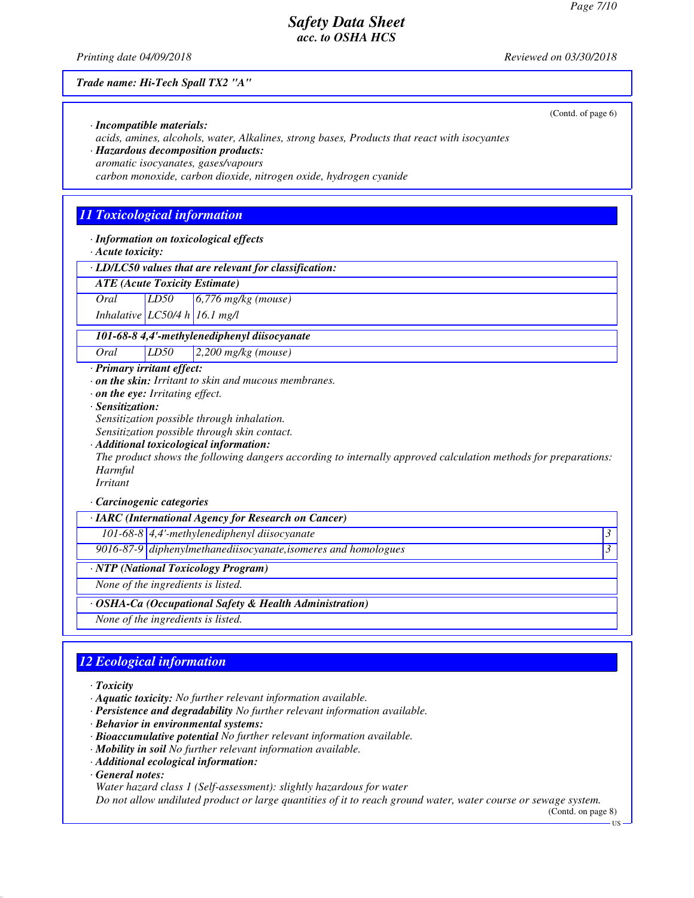*Printing date 04/09/2018 Reviewed on 03/30/2018*

#### *Trade name: Hi-Tech Spall TX2 "A"*

(Contd. of page 6)

*· Incompatible materials: acids, amines, alcohols, water, Alkalines, strong bases, Products that react with isocyantes · Hazardous decomposition products:*

*aromatic isocyanates, gases/vapours*

*carbon monoxide, carbon dioxide, nitrogen oxide, hydrogen cyanide*

# *11 Toxicological information*

*· Information on toxicological effects*

*· Acute toxicity:*

*· LD/LC50 values that are relevant for classification:*

*ATE (Acute Toxicity Estimate)*

*Oral LD50 6,776 mg/kg (mouse)*

*Inhalative LC50/4 h 16.1 mg/l*

#### *101-68-8 4,4'-methylenediphenyl diisocyanate*

*Oral LD50 2,200 mg/kg (mouse)*

#### *· Primary irritant effect:*

*· on the skin: Irritant to skin and mucous membranes.*

*· on the eye: Irritating effect.*

*· Sensitization:*

*Sensitization possible through inhalation.*

*Sensitization possible through skin contact.*

#### *· Additional toxicological information:*

*The product shows the following dangers according to internally approved calculation methods for preparations: Harmful*

# *Irritant*

#### *· Carcinogenic categories*

| $\cdot$ IARC (International Agency for Research on Cancer) |                                                                |  |
|------------------------------------------------------------|----------------------------------------------------------------|--|
|                                                            | 101-68-8 4,4'-methylenediphenyl diisocyanate                   |  |
|                                                            | 9016-87-9 diphenylmethanediisocyanate, isomeres and homologues |  |
| · NTP (National Toxicology Program)                        |                                                                |  |
| None of the ingredients is listed.                         |                                                                |  |
| · OSHA-Ca (Occupational Safety & Health Administration)    |                                                                |  |
| None of the ingredients is listed.                         |                                                                |  |

# *12 Ecological information*

#### *· Toxicity*

- *· Aquatic toxicity: No further relevant information available.*
- *· Persistence and degradability No further relevant information available.*
- *· Behavior in environmental systems:*
- *· Bioaccumulative potential No further relevant information available.*
- *· Mobility in soil No further relevant information available.*
- *· Additional ecological information:*

*· General notes:*

*Water hazard class 1 (Self-assessment): slightly hazardous for water*

*Do not allow undiluted product or large quantities of it to reach ground water, water course or sewage system.*

(Contd. on page 8)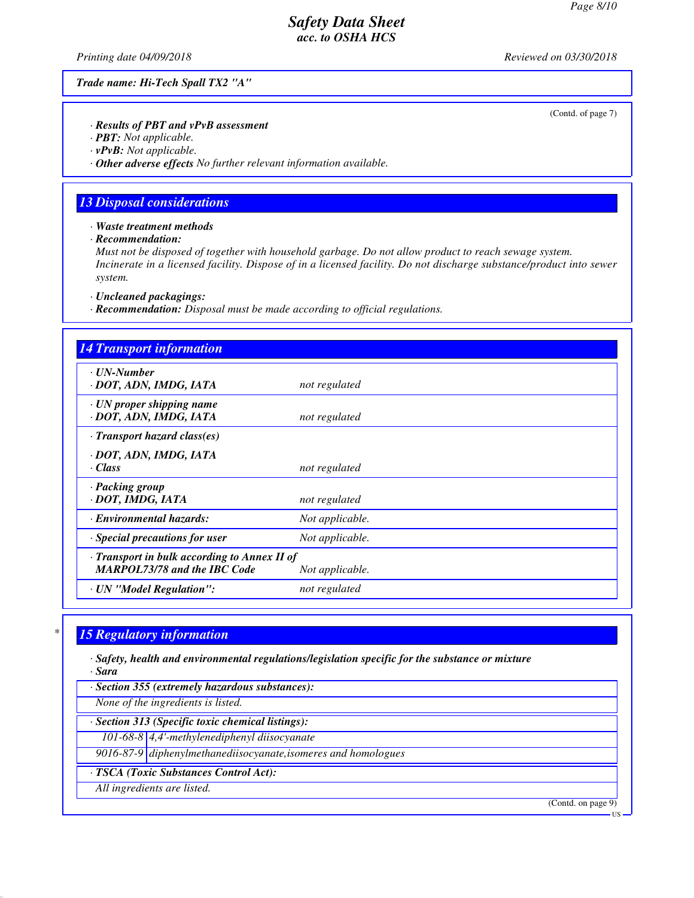*Printing date 04/09/2018 Reviewed on 03/30/2018*

*Trade name: Hi-Tech Spall TX2 "A"*

(Contd. of page 7)

*· Results of PBT and vPvB assessment*

*· PBT: Not applicable.*

*· vPvB: Not applicable.*

*· Other adverse effects No further relevant information available.*

### *13 Disposal considerations*

*· Waste treatment methods*

*· Recommendation:*

*Must not be disposed of together with household garbage. Do not allow product to reach sewage system. Incinerate in a licensed facility. Dispose of in a licensed facility. Do not discharge substance/product into sewer system.*

*· Uncleaned packagings:*

*· Recommendation: Disposal must be made according to official regulations.*

| <b>14 Transport information</b>                                                     |                 |
|-------------------------------------------------------------------------------------|-----------------|
| · UN-Number<br>· DOT, ADN, IMDG, IATA                                               | not regulated   |
| $\cdot$ UN proper shipping name<br>· DOT, ADN, IMDG, IATA                           | not regulated   |
| $\cdot$ Transport hazard class(es)                                                  |                 |
| · DOT, ADN, IMDG, IATA<br>· Class                                                   | not regulated   |
| · Packing group<br>· DOT, IMDG, IATA                                                | not regulated   |
| <b>Environmental hazards:</b>                                                       | Not applicable. |
| Special precautions for user                                                        | Not applicable. |
| · Transport in bulk according to Annex II of<br><b>MARPOL73/78 and the IBC Code</b> | Not applicable. |
| · UN "Model Regulation":                                                            | not regulated   |

# *\* 15 Regulatory information*

*· Safety, health and environmental regulations/legislation specific for the substance or mixture · Sara*

*· Section 355 (extremely hazardous substances):*

*None of the ingredients is listed.*

*· Section 313 (Specific toxic chemical listings):*

*101-68-8 4,4'-methylenediphenyl diisocyanate*

*9016-87-9 diphenylmethanediisocyanate,isomeres and homologues*

*· TSCA (Toxic Substances Control Act):*

*All ingredients are listed.*

(Contd. on page 9)

US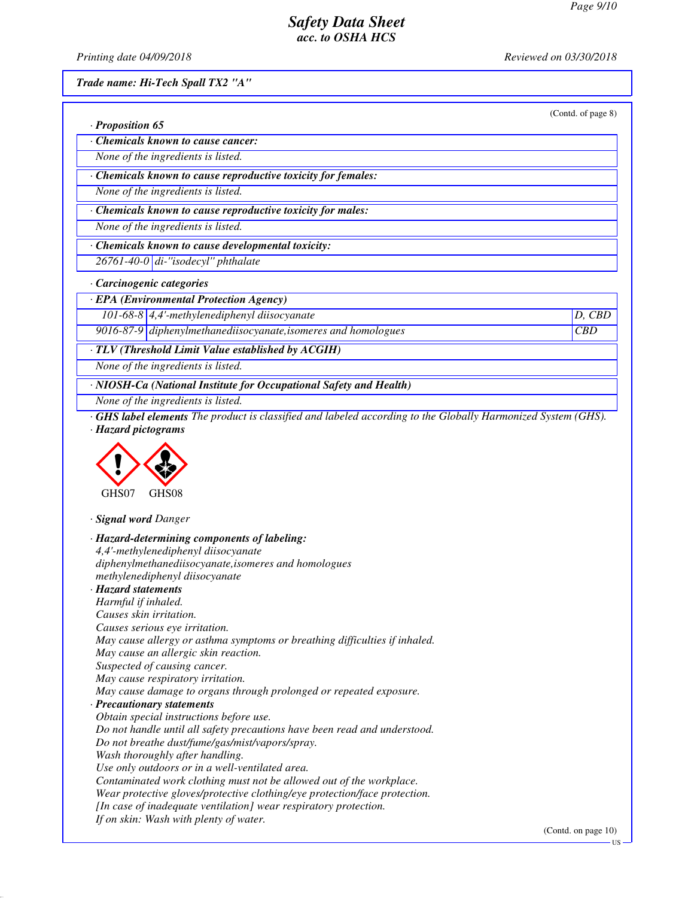*Printing date 04/09/2018 Reviewed on 03/30/2018*

*Trade name: Hi-Tech Spall TX2 "A"*

|                                                               | (Contd. of page 8) |
|---------------------------------------------------------------|--------------------|
| $\cdot$ Proposition 65                                        |                    |
| Chemicals known to cause cancer:                              |                    |
| None of the ingredients is listed.                            |                    |
| · Chemicals known to cause reproductive toxicity for females: |                    |
| None of the ingredients is listed.                            |                    |
| · Chemicals known to cause reproductive toxicity for males:   |                    |
| None of the ingredients is listed.                            |                    |
| Chemicals known to cause developmental toxicity:              |                    |
| $26761 - 40 - 0$ di-"isodecyl" phthalate                      |                    |
| Carcinogenic categories                                       |                    |
| · EPA (Environmental Protection Agency)                       |                    |
| 101-68-8 $\vert$ 4,4'-methylenediphenyl diisocyanate          | D.                 |

*9016-87-9 diphenylmethanediisocyanate,isomeres and homologues CBD*

*· TLV (Threshold Limit Value established by ACGIH)*

*None of the ingredients is listed.*

*· NIOSH-Ca (National Institute for Occupational Safety and Health)*

*None of the ingredients is listed.*

*· GHS label elements The product is classified and labeled according to the Globally Harmonized System (GHS). · Hazard pictograms*



*· Signal word Danger*

| · Hazard-determining components of labeling:                               |  |
|----------------------------------------------------------------------------|--|
| 4,4'-methylenediphenyl diisocyanate                                        |  |
| diphenylmethanediisocyanate, isomeres and homologues                       |  |
| methylenediphenyl diisocyanate                                             |  |
| · Hazard statements                                                        |  |
| Harmful if inhaled.                                                        |  |
| Causes skin irritation.                                                    |  |
| Causes serious eye irritation.                                             |  |
| May cause allergy or asthma symptoms or breathing difficulties if inhaled. |  |
| May cause an allergic skin reaction.                                       |  |
| Suspected of causing cancer.                                               |  |
| May cause respiratory irritation.                                          |  |
| May cause damage to organs through prolonged or repeated exposure.         |  |
| · Precautionary statements                                                 |  |
| Obtain special instructions before use.                                    |  |
| Do not handle until all safety precautions have been read and understood.  |  |
| Do not breathe dust/fume/gas/mist/vapors/spray.                            |  |
| Wash thoroughly after handling.                                            |  |
| Use only outdoors or in a well-ventilated area.                            |  |
| Contaminated work clothing must not be allowed out of the workplace.       |  |
| Wear protective gloves/protective clothing/eye protection/face protection. |  |
| [In case of inadequate ventilation] wear respiratory protection.           |  |
| If on skin: Wash with plenty of water.                                     |  |
|                                                                            |  |